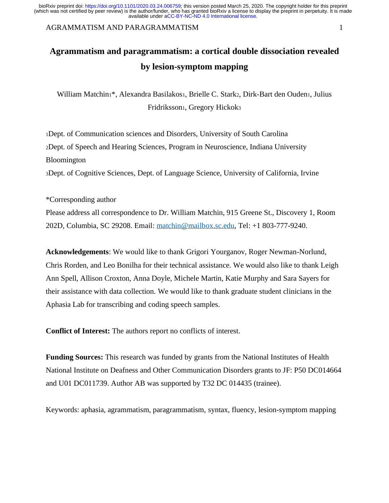## AGRAMMATISM AND PARAGRAMMATISM 1

# **Agrammatism and paragrammatism: a cortical double dissociation revealed by lesion-symptom mapping**

William Matchin1\*, Alexandra Basilakos1, Brielle C. Stark2, Dirk-Bart den Ouden1, Julius Fridriksson1, Gregory Hickok3

<sup>1</sup>Dept. of Communication sciences and Disorders, University of South Carolina <sup>2</sup>Dept. of Speech and Hearing Sciences, Program in Neuroscience, Indiana University Bloomington

<sup>3</sup>Dept. of Cognitive Sciences, Dept. of Language Science, University of California, Irvine

\*Corresponding author Please address all correspondence to Dr. William Matchin, 915 Greene St., Discovery 1, Room 202D, Columbia, SC 29208. Email: [matchin@mailbox.sc.edu,](mailto:matchin@mailbox.sc.edu) Tel: +1 803-777-9240.

**Acknowledgements**: We would like to thank Grigori Yourganov, Roger Newman-Norlund, Chris Rorden, and Leo Bonilha for their technical assistance. We would also like to thank Leigh Ann Spell, Allison Croxton, Anna Doyle, Michele Martin, Katie Murphy and Sara Sayers for their assistance with data collection. We would like to thank graduate student clinicians in the Aphasia Lab for transcribing and coding speech samples.

**Conflict of Interest:** The authors report no conflicts of interest.

**Funding Sources:** This research was funded by grants from the National Institutes of Health National Institute on Deafness and Other Communication Disorders grants to JF: P50 DC014664 and U01 DC011739. Author AB was supported by T32 DC 014435 (trainee).

Keywords: aphasia, agrammatism, paragrammatism, syntax, fluency, lesion-symptom mapping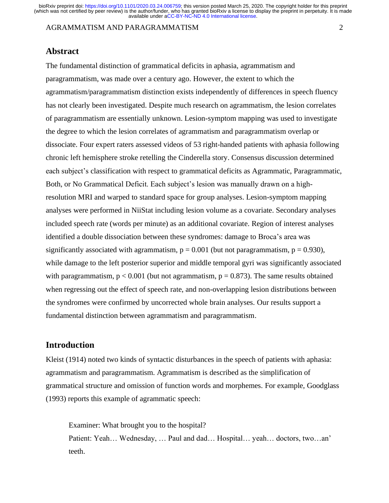#### AGRAMMATISM AND PARAGRAMMATISM 2

# **Abstract**

The fundamental distinction of grammatical deficits in aphasia, agrammatism and paragrammatism, was made over a century ago. However, the extent to which the agrammatism/paragrammatism distinction exists independently of differences in speech fluency has not clearly been investigated. Despite much research on agrammatism, the lesion correlates of paragrammatism are essentially unknown. Lesion-symptom mapping was used to investigate the degree to which the lesion correlates of agrammatism and paragrammatism overlap or dissociate. Four expert raters assessed videos of 53 right-handed patients with aphasia following chronic left hemisphere stroke retelling the Cinderella story. Consensus discussion determined each subject's classification with respect to grammatical deficits as Agrammatic, Paragrammatic, Both, or No Grammatical Deficit. Each subject's lesion was manually drawn on a highresolution MRI and warped to standard space for group analyses. Lesion-symptom mapping analyses were performed in NiiStat including lesion volume as a covariate. Secondary analyses included speech rate (words per minute) as an additional covariate. Region of interest analyses identified a double dissociation between these syndromes: damage to Broca's area was significantly associated with agrammatism,  $p = 0.001$  (but not paragrammatism,  $p = 0.930$ ), while damage to the left posterior superior and middle temporal gyri was significantly associated with paragrammatism,  $p < 0.001$  (but not agrammatism,  $p = 0.873$ ). The same results obtained when regressing out the effect of speech rate, and non-overlapping lesion distributions between the syndromes were confirmed by uncorrected whole brain analyses. Our results support a fundamental distinction between agrammatism and paragrammatism.

# **Introduction**

Kleist (1914) noted two kinds of syntactic disturbances in the speech of patients with aphasia: agrammatism and paragrammatism. Agrammatism is described as the simplification of grammatical structure and omission of function words and morphemes. For example, Goodglass (1993) reports this example of agrammatic speech:

Examiner: What brought you to the hospital? Patient: Yeah… Wednesday, … Paul and dad… Hospital… yeah… doctors, two…an' teeth.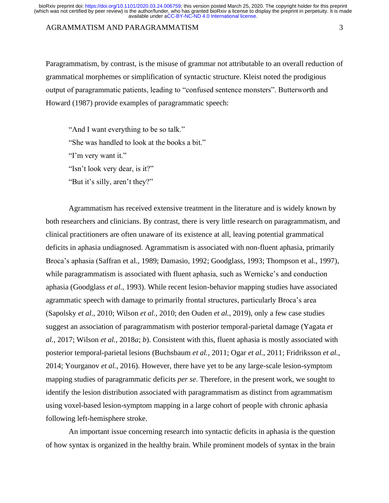#### AGRAMMATISM AND PARAGRAMMATISM 3

Paragrammatism, by contrast, is the misuse of grammar not attributable to an overall reduction of grammatical morphemes or simplification of syntactic structure. Kleist noted the prodigious output of paragrammatic patients, leading to "confused sentence monsters". Butterworth and Howard (1987) provide examples of paragrammatic speech:

"And I want everything to be so talk." "She was handled to look at the books a bit." "I'm very want it." "Isn't look very dear, is it?" "But it's silly, aren't they?"

Agrammatism has received extensive treatment in the literature and is widely known by both researchers and clinicians. By contrast, there is very little research on paragrammatism, and clinical practitioners are often unaware of its existence at all, leaving potential grammatical deficits in aphasia undiagnosed. Agrammatism is associated with non-fluent aphasia, primarily Broca's aphasia (Saffran et al., 1989; Damasio, 1992; Goodglass, 1993; Thompson et al., 1997), while paragrammatism is associated with fluent aphasia, such as Wernicke's and conduction aphasia (Goodglass *et al.*, 1993). While recent lesion-behavior mapping studies have associated agrammatic speech with damage to primarily frontal structures, particularly Broca's area (Sapolsky *et al.,* 2010; Wilson *et al.*, 2010; den Ouden *et al.*, 2019), only a few case studies suggest an association of paragrammatism with posterior temporal-parietal damage (Yagata *et al.*, 2017; Wilson *et al.*, 2018*a*; *b*). Consistent with this, fluent aphasia is mostly associated with posterior temporal-parietal lesions (Buchsbaum *et al.*, 2011; Ogar *et al.*, 2011; Fridriksson *et al.*, 2014; Yourganov *et al.*, 2016). However, there have yet to be any large-scale lesion-symptom mapping studies of paragrammatic deficits *per se*. Therefore, in the present work, we sought to identify the lesion distribution associated with paragrammatism as distinct from agrammatism using voxel-based lesion-symptom mapping in a large cohort of people with chronic aphasia following left-hemisphere stroke.

An important issue concerning research into syntactic deficits in aphasia is the question of how syntax is organized in the healthy brain. While prominent models of syntax in the brain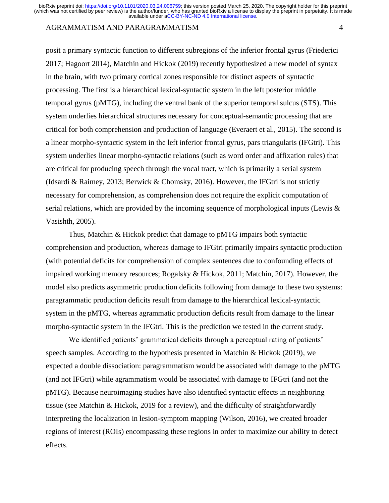## AGRAMMATISM AND PARAGRAMMATISM 4

posit a primary syntactic function to different subregions of the inferior frontal gyrus (Friederici 2017; Hagoort 2014), Matchin and Hickok (2019) recently hypothesized a new model of syntax in the brain, with two primary cortical zones responsible for distinct aspects of syntactic processing. The first is a hierarchical lexical-syntactic system in the left posterior middle temporal gyrus (pMTG), including the ventral bank of the superior temporal sulcus (STS). This system underlies hierarchical structures necessary for conceptual-semantic processing that are critical for both comprehension and production of language (Everaert et al., 2015). The second is a linear morpho-syntactic system in the left inferior frontal gyrus, pars triangularis (IFGtri). This system underlies linear morpho-syntactic relations (such as word order and affixation rules) that are critical for producing speech through the vocal tract, which is primarily a serial system (Idsardi & Raimey, 2013; Berwick & Chomsky, 2016). However, the IFGtri is not strictly necessary for comprehension, as comprehension does not require the explicit computation of serial relations, which are provided by the incoming sequence of morphological inputs (Lewis & Vasishth, 2005).

Thus, Matchin & Hickok predict that damage to pMTG impairs both syntactic comprehension and production, whereas damage to IFGtri primarily impairs syntactic production (with potential deficits for comprehension of complex sentences due to confounding effects of impaired working memory resources; Rogalsky & Hickok, 2011; Matchin, 2017). However, the model also predicts asymmetric production deficits following from damage to these two systems: paragrammatic production deficits result from damage to the hierarchical lexical-syntactic system in the pMTG, whereas agrammatic production deficits result from damage to the linear morpho-syntactic system in the IFGtri. This is the prediction we tested in the current study.

We identified patients' grammatical deficits through a perceptual rating of patients' speech samples. According to the hypothesis presented in Matchin & Hickok (2019), we expected a double dissociation: paragrammatism would be associated with damage to the pMTG (and not IFGtri) while agrammatism would be associated with damage to IFGtri (and not the pMTG). Because neuroimaging studies have also identified syntactic effects in neighboring tissue (see Matchin & Hickok, 2019 for a review), and the difficulty of straightforwardly interpreting the localization in lesion-symptom mapping (Wilson, 2016), we created broader regions of interest (ROIs) encompassing these regions in order to maximize our ability to detect effects.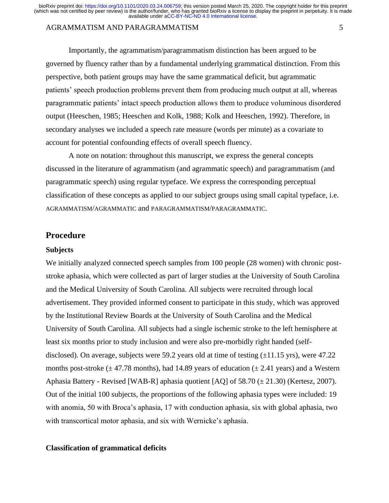### AGRAMMATISM AND PARAGRAMMATISM 5

Importantly, the agrammatism/paragrammatism distinction has been argued to be governed by fluency rather than by a fundamental underlying grammatical distinction. From this perspective, both patient groups may have the same grammatical deficit, but agrammatic patients' speech production problems prevent them from producing much output at all, whereas paragrammatic patients' intact speech production allows them to produce voluminous disordered output (Heeschen, 1985; Heeschen and Kolk, 1988; Kolk and Heeschen, 1992). Therefore, in secondary analyses we included a speech rate measure (words per minute) as a covariate to account for potential confounding effects of overall speech fluency.

A note on notation: throughout this manuscript, we express the general concepts discussed in the literature of agrammatism (and agrammatic speech) and paragrammatism (and paragrammatic speech) using regular typeface. We express the corresponding perceptual classification of these concepts as applied to our subject groups using small capital typeface, i.e. AGRAMMATISM/AGRAMMATIC and PARAGRAMMATISM/PARAGRAMMATIC.

# **Procedure**

#### **Subjects**

We initially analyzed connected speech samples from 100 people (28 women) with chronic poststroke aphasia, which were collected as part of larger studies at the University of South Carolina and the Medical University of South Carolina. All subjects were recruited through local advertisement. They provided informed consent to participate in this study, which was approved by the Institutional Review Boards at the University of South Carolina and the Medical University of South Carolina. All subjects had a single ischemic stroke to the left hemisphere at least six months prior to study inclusion and were also pre-morbidly right handed (selfdisclosed). On average, subjects were 59.2 years old at time of testing  $(\pm 11.15 \text{ yrs})$ , were 47.22 months post-stroke ( $\pm$  47.78 months), had 14.89 years of education ( $\pm$  2.41 years) and a Western Aphasia Battery - Revised [WAB-R] aphasia quotient [AQ] of 58.70 (± 21.30) (Kertesz, 2007). Out of the initial 100 subjects, the proportions of the following aphasia types were included: 19 with anomia, 50 with Broca's aphasia, 17 with conduction aphasia, six with global aphasia, two with transcortical motor aphasia, and six with Wernicke's aphasia.

## **Classification of grammatical deficits**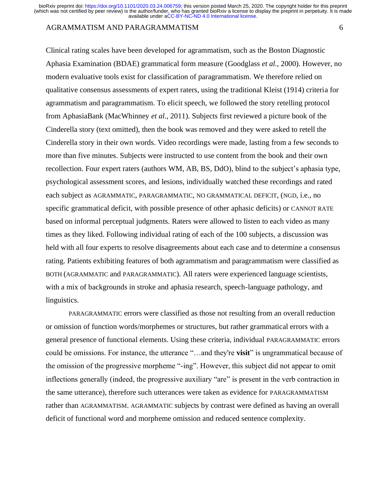#### AGRAMMATISM AND PARAGRAMMATISM 6

Clinical rating scales have been developed for agrammatism, such as the Boston Diagnostic Aphasia Examination (BDAE) grammatical form measure (Goodglass *et al.,* 2000). However, no modern evaluative tools exist for classification of paragrammatism. We therefore relied on qualitative consensus assessments of expert raters, using the traditional Kleist (1914) criteria for agrammatism and paragrammatism. To elicit speech, we followed the story retelling protocol from AphasiaBank (MacWhinney *et al.,* 2011). Subjects first reviewed a picture book of the Cinderella story (text omitted), then the book was removed and they were asked to retell the Cinderella story in their own words. Video recordings were made, lasting from a few seconds to more than five minutes. Subjects were instructed to use content from the book and their own recollection. Four expert raters (authors WM, AB, BS, DdO), blind to the subject's aphasia type, psychological assessment scores, and lesions, individually watched these recordings and rated each subject as AGRAMMATIC, PARAGRAMMATIC, NO GRAMMATICAL DEFICIT, (NGD, i.e., no specific grammatical deficit, with possible presence of other aphasic deficits) or CANNOT RATE based on informal perceptual judgments. Raters were allowed to listen to each video as many times as they liked. Following individual rating of each of the 100 subjects, a discussion was held with all four experts to resolve disagreements about each case and to determine a consensus rating. Patients exhibiting features of both agrammatism and paragrammatism were classified as BOTH (AGRAMMATIC and PARAGRAMMATIC). All raters were experienced language scientists, with a mix of backgrounds in stroke and aphasia research, speech-language pathology, and linguistics.

PARAGRAMMATIC errors were classified as those not resulting from an overall reduction or omission of function words/morphemes or structures, but rather grammatical errors with a general presence of functional elements. Using these criteria, individual PARAGRAMMATIC errors could be omissions. For instance, the utterance "…and they're **visit**" is ungrammatical because of the omission of the progressive morpheme "-ing". However, this subject did not appear to omit inflections generally (indeed, the progressive auxiliary "are" is present in the verb contraction in the same utterance), therefore such utterances were taken as evidence for PARAGRAMMATISM rather than AGRAMMATISM. AGRAMMATIC subjects by contrast were defined as having an overall deficit of functional word and morpheme omission and reduced sentence complexity.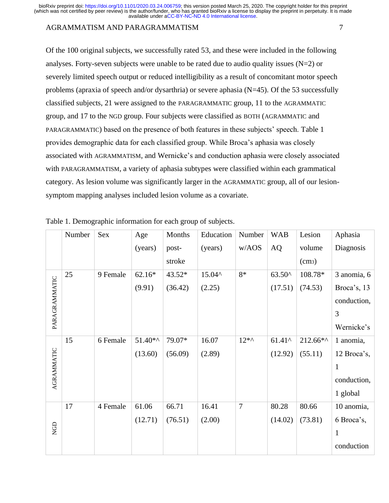## AGRAMMATISM AND PARAGRAMMATISM 7

Of the 100 original subjects, we successfully rated 53, and these were included in the following analyses. Forty-seven subjects were unable to be rated due to audio quality issues  $(N=2)$  or severely limited speech output or reduced intelligibility as a result of concomitant motor speech problems (apraxia of speech and/or dysarthria) or severe aphasia (N=45). Of the 53 successfully classified subjects, 21 were assigned to the PARAGRAMMATIC group, 11 to the AGRAMMATIC group, and 17 to the NGD group. Four subjects were classified as BOTH (AGRAMMATIC and PARAGRAMMATIC) based on the presence of both features in these subjects' speech. Table 1 provides demographic data for each classified group. While Broca's aphasia was closely associated with AGRAMMATISM, and Wernicke's and conduction aphasia were closely associated with PARAGRAMMATISM, a variety of aphasia subtypes were classified within each grammatical category. As lesion volume was significantly larger in the AGRAMMATIC group, all of our lesionsymptom mapping analyses included lesion volume as a covariate.

|               | Number | Sex      | Age       | Months  | Education | Number         | <b>WAB</b>      | Lesion   | Aphasia      |
|---------------|--------|----------|-----------|---------|-----------|----------------|-----------------|----------|--------------|
|               |        |          | (years)   | post-   | (years)   | w/AOS          | <b>AQ</b>       | volume   | Diagnosis    |
|               |        |          |           | stroke  |           |                |                 | $/cm3$ ) |              |
|               | 25     | 9 Female | $62.16*$  | 43.52*  | 15.04^    | $8*$           | $63.50^{\circ}$ | 108.78*  | 3 anomia, 6  |
|               |        |          | (9.91)    | (36.42) | (2.25)    |                | (17.51)         | (74.53)  | Broca's, 13  |
|               |        |          |           |         |           |                |                 |          | conduction,  |
| PARAGRAMMATIC |        |          |           |         |           |                |                 |          | 3            |
|               |        |          |           |         |           |                |                 |          | Wernicke's   |
|               | 15     | 6 Female | $51.40**$ | 79.07*  | 16.07     | $12**$         | $61.41^{\circ}$ | 212.66*^ | 1 anomia,    |
|               |        |          | (13.60)   | (56.09) | (2.89)    |                | (12.92)         | (55.11)  | 12 Broca's,  |
|               |        |          |           |         |           |                |                 |          | $\mathbf{1}$ |
| AGRAMMATIC    |        |          |           |         |           |                |                 |          | conduction,  |
|               |        |          |           |         |           |                |                 |          | 1 global     |
|               | 17     | 4 Female | 61.06     | 66.71   | 16.41     | $\overline{7}$ | 80.28           | 80.66    | 10 anomia,   |
|               |        |          | (12.71)   | (76.51) | (2.00)    |                | (14.02)         | (73.81)  | 6 Broca's,   |
| NGD           |        |          |           |         |           |                |                 |          | $\mathbf{1}$ |
|               |        |          |           |         |           |                |                 |          | conduction   |

Table 1. Demographic information for each group of subjects.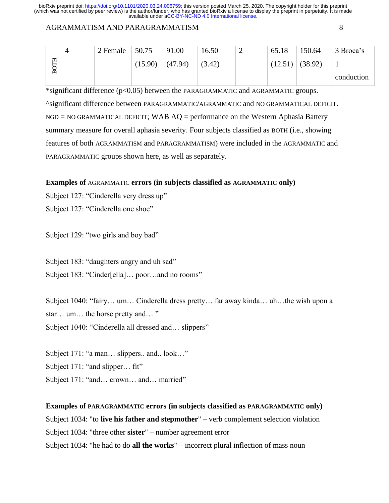# AGRAMMATISM AND PARAGRAMMATISM 8

|   | ×.            |
|---|---------------|
| × | 7<br>ć        |
|   | ۰.<br>۰,<br>۹ |

|             | 4 | 2 Female | 50.75   | 91.00   | 16.50  | ∽ | 65.18   | 150.64  | 3 Broca's  |
|-------------|---|----------|---------|---------|--------|---|---------|---------|------------|
| Ī<br>⊨<br>Ć |   |          | (15.90) | (47.94) | (3.42) |   | (12.51) | (38.92) | <b>T</b>   |
| ∞           |   |          |         |         |        |   |         |         | conduction |

\*significant difference (p<0.05) between the PARAGRAMMATIC and AGRAMMATIC groups. ^significant difference between PARAGRAMMATIC/AGRAMMATIC and NO GRAMMATICAL DEFICIT.  $NGD = NO GRAMMATICAL DEFICT$ ; WAB  $AO = performance on the Western Aphasia Battery$ summary measure for overall aphasia severity. Four subjects classified as BOTH (i.e., showing features of both AGRAMMATISM and PARAGRAMMATISM) were included in the AGRAMMATIC and PARAGRAMMATIC groups shown here, as well as separately.

# **Examples of** AGRAMMATIC **errors (in subjects classified as AGRAMMATIC only)**

Subject 127: "Cinderella very dress up"

Subject 127: "Cinderella one shoe"

Subject 129: "two girls and boy bad"

Subject 183: "daughters angry and uh sad" Subject 183: "Cinder[ella]… poor…and no rooms"

Subject 1040: "fairy… um… Cinderella dress pretty… far away kinda… uh…the wish upon a star… um… the horse pretty and… " Subject 1040: "Cinderella all dressed and… slippers"

Subject 171: "a man… slippers.. and.. look…" Subject 171: "and slipper... fit" Subject 171: "and... crown... and... married"

# **Examples of PARAGRAMMATIC errors (in subjects classified as PARAGRAMMATIC only)**

Subject 1034: "to **live his father and stepmother**" – verb complement selection violation Subject 1034: "three other **sister**" – number agreement error Subject 1034: "he had to do **all the works**" – incorrect plural inflection of mass noun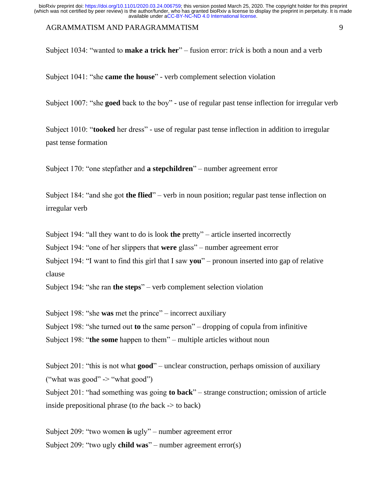## AGRAMMATISM AND PARAGRAMMATISM 9

Subject 1034: "wanted to **make a trick her**" – fusion error: *trick* is both a noun and a verb

Subject 1041: "she **came the house**" - verb complement selection violation

Subject 1007: "she **goed** back to the boy" - use of regular past tense inflection for irregular verb

Subject 1010: "**tooked** her dress" - use of regular past tense inflection in addition to irregular past tense formation

Subject 170: "one stepfather and **a stepchildren**" – number agreement error

Subject 184: "and she got **the flied**" – verb in noun position; regular past tense inflection on irregular verb

Subject 194: "all they want to do is look **the** pretty" – article inserted incorrectly

Subject 194: "one of her slippers that **were** glass" – number agreement error

Subject 194: "I want to find this girl that I saw **you**" – pronoun inserted into gap of relative clause

Subject 194: "she ran **the steps**" – verb complement selection violation

Subject 198: "she **was** met the prince" – incorrect auxiliary Subject 198: "she turned out **to** the same person" – dropping of copula from infinitive Subject 198: "**the some** happen to them" – multiple articles without noun

Subject 201: "this is not what **good**" – unclear construction, perhaps omission of auxiliary ("what was good" -> "what good") Subject 201: "had something was going **to back**" – strange construction; omission of article inside prepositional phrase (to *the* back -> to back)

Subject 209: "two women **is** ugly" – number agreement error Subject 209: "two ugly **child was**" – number agreement error(s)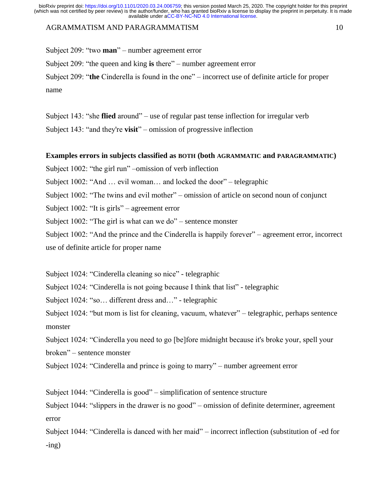# AGRAMMATISM AND PARAGRAMMATISM 10

Subject 209: "two **man**" – number agreement error

Subject 209: "the queen and king **is** there" – number agreement error

Subject 209: "**the** Cinderella is found in the one" – incorrect use of definite article for proper name

Subject 143: "she **flied** around" – use of regular past tense inflection for irregular verb Subject 143: "and they're **visit**" – omission of progressive inflection

#### **Examples errors in subjects classified as BOTH (both AGRAMMATIC and PARAGRAMMATIC)**

Subject 1002: "the girl run" –omission of verb inflection

Subject 1002: "And ... evil woman... and locked the door" – telegraphic

Subject 1002: "The twins and evil mother" – omission of article on second noun of conjunct

Subject 1002: "It is girls" – agreement error

Subject 1002: "The girl is what can we do" – sentence monster

Subject 1002: "And the prince and the Cinderella is happily forever" – agreement error, incorrect use of definite article for proper name

Subject 1024: "Cinderella cleaning so nice" - telegraphic

Subject 1024: "Cinderella is not going because I think that list" - telegraphic

Subject 1024: "so… different dress and…" - telegraphic

Subject 1024: "but mom is list for cleaning, vacuum, whatever" – telegraphic, perhaps sentence monster

Subject 1024: "Cinderella you need to go [be]fore midnight because it's broke your, spell your broken" – sentence monster

Subject 1024: "Cinderella and prince is going to marry" – number agreement error

Subject 1044: "Cinderella is good" – simplification of sentence structure

Subject 1044: "slippers in the drawer is no good" – omission of definite determiner, agreement error

Subject 1044: "Cinderella is danced with her maid" – incorrect inflection (substitution of -ed for -ing)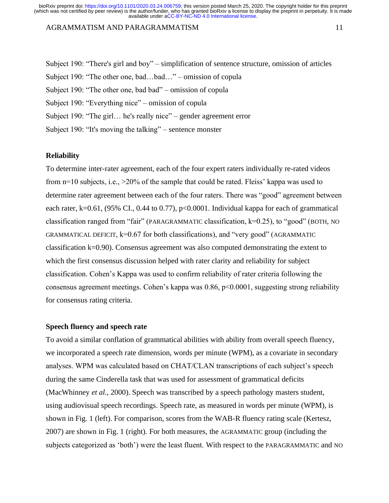#### AGRAMMATISM AND PARAGRAMMATISM 11

Subject 190: "There's girl and boy" – simplification of sentence structure, omission of articles Subject 190: "The other one, bad...bad..." – omission of copula Subject 190: "The other one, bad bad" – omission of copula Subject 190: "Everything nice" – omission of copula Subject 190: "The girl… he's really nice" – gender agreement error Subject 190: "It's moving the talking" – sentence monster

#### **Reliability**

To determine inter-rater agreement, each of the four expert raters individually re-rated videos from n=10 subjects, i.e., >20% of the sample that could be rated. Fleiss' kappa was used to determine rater agreement between each of the four raters. There was "good" agreement between each rater, k=0.61, (95% CI., 0.44 to 0.77),  $p<0.0001$ . Individual kappa for each of grammatical classification ranged from "fair" (PARAGRAMMATIC classification, k=0.25), to "good" (BOTH, NO GRAMMATICAL DEFICIT,  $k=0.67$  for both classifications), and "very good" (AGRAMMATIC classification k=0.90). Consensus agreement was also computed demonstrating the extent to which the first consensus discussion helped with rater clarity and reliability for subject classification. Cohen's Kappa was used to confirm reliability of rater criteria following the consensus agreement meetings. Cohen's kappa was 0.86, p<0.0001, suggesting strong reliability for consensus rating criteria.

#### **Speech fluency and speech rate**

To avoid a similar conflation of grammatical abilities with ability from overall speech fluency, we incorporated a speech rate dimension, words per minute (WPM), as a covariate in secondary analyses. WPM was calculated based on CHAT/CLAN transcriptions of each subject's speech during the same Cinderella task that was used for assessment of grammatical deficits (MacWhinney *et al.,* 2000). Speech was transcribed by a speech pathology masters student, using audiovisual speech recordings. Speech rate, as measured in words per minute (WPM), is shown in Fig. 1 (left). For comparison, scores from the WAB-R fluency rating scale (Kertesz, 2007) are shown in Fig. 1 (right). For both measures, the AGRAMMATIC group (including the subjects categorized as 'both') were the least fluent. With respect to the PARAGRAMMATIC and NO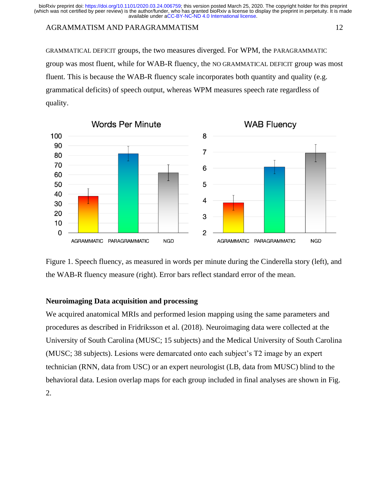## AGRAMMATISM AND PARAGRAMMATISM 12

GRAMMATICAL DEFICIT groups, the two measures diverged. For WPM, the PARAGRAMMATIC group was most fluent, while for WAB-R fluency, the NO GRAMMATICAL DEFICIT group was most fluent. This is because the WAB-R fluency scale incorporates both quantity and quality (e.g. grammatical deficits) of speech output, whereas WPM measures speech rate regardless of quality.





## **Neuroimaging Data acquisition and processing**

We acquired anatomical MRIs and performed lesion mapping using the same parameters and procedures as described in Fridriksson et al. (2018). Neuroimaging data were collected at the University of South Carolina (MUSC; 15 subjects) and the Medical University of South Carolina (MUSC; 38 subjects). Lesions were demarcated onto each subject's T2 image by an expert technician (RNN, data from USC) or an expert neurologist (LB, data from MUSC) blind to the behavioral data. Lesion overlap maps for each group included in final analyses are shown in Fig. 2.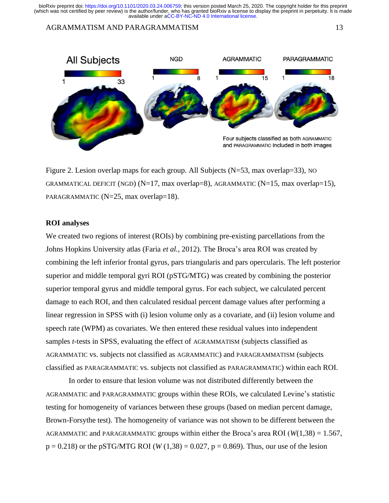## AGRAMMATISM AND PARAGRAMMATISM 13



Figure 2. Lesion overlap maps for each group. All Subjects (N=53, max overlap=33), NO GRAMMATICAL DEFICIT (NGD) ( $N=17$ , max overlap=8), AGRAMMATIC ( $N=15$ , max overlap=15), PARAGRAMMATIC (N=25, max overlap=18).

### **ROI analyses**

We created two regions of interest (ROIs) by combining pre-existing parcellations from the Johns Hopkins University atlas (Faria *et al.,* 2012). The Broca's area ROI was created by combining the left inferior frontal gyrus, pars triangularis and pars opercularis. The left posterior superior and middle temporal gyri ROI (pSTG/MTG) was created by combining the posterior superior temporal gyrus and middle temporal gyrus. For each subject, we calculated percent damage to each ROI, and then calculated residual percent damage values after performing a linear regression in SPSS with (i) lesion volume only as a covariate, and (ii) lesion volume and speech rate (WPM) as covariates. We then entered these residual values into independent samples *t*-tests in SPSS, evaluating the effect of AGRAMMATISM (subjects classified as AGRAMMATIC vs. subjects not classified as AGRAMMATIC) and PARAGRAMMATISM (subjects classified as PARAGRAMMATIC vs. subjects not classified as PARAGRAMMATIC) within each ROI.

In order to ensure that lesion volume was not distributed differently between the AGRAMMATIC and PARAGRAMMATIC groups within these ROIs, we calculated Levine's statistic testing for homogeneity of variances between these groups (based on median percent damage, Brown-Forsythe test). The homogeneity of variance was not shown to be different between the AGRAMMATIC and PARAGRAMMATIC groups within either the Broca's area ROI ( $W(1,38) = 1.567$ ,  $p = 0.218$ ) or the pSTG/MTG ROI (*W* (1,38) = 0.027,  $p = 0.869$ ). Thus, our use of the lesion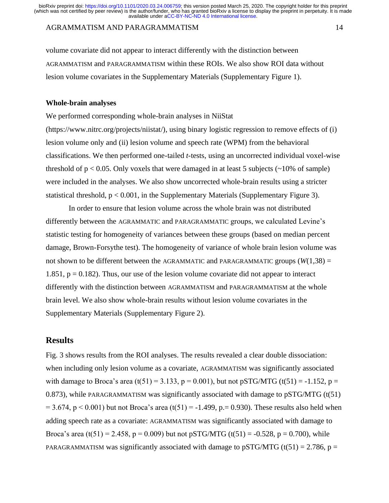## AGRAMMATISM AND PARAGRAMMATISM 14

volume covariate did not appear to interact differently with the distinction between AGRAMMATISM and PARAGRAMMATISM within these ROIs. We also show ROI data without lesion volume covariates in the Supplementary Materials (Supplementary Figure 1).

# **Whole-brain analyses**

We performed corresponding whole-brain analyses in NiiStat

(https://www.nitrc.org/projects/niistat/), using binary logistic regression to remove effects of (i) lesion volume only and (ii) lesion volume and speech rate (WPM) from the behavioral classifications. We then performed one-tailed *t*-tests, using an uncorrected individual voxel-wise threshold of  $p < 0.05$ . Only voxels that were damaged in at least 5 subjects ( $\sim$ 10% of sample) were included in the analyses. We also show uncorrected whole-brain results using a stricter statistical threshold,  $p < 0.001$ , in the Supplementary Materials (Supplementary Figure 3).

In order to ensure that lesion volume across the whole brain was not distributed differently between the AGRAMMATIC and PARAGRAMMATIC groups, we calculated Levine's statistic testing for homogeneity of variances between these groups (based on median percent damage, Brown-Forsythe test). The homogeneity of variance of whole brain lesion volume was not shown to be different between the AGRAMMATIC and PARAGRAMMATIC groups  $(W(1,38) =$ 1.851,  $p = 0.182$ ). Thus, our use of the lesion volume covariate did not appear to interact differently with the distinction between AGRAMMATISM and PARAGRAMMATISM at the whole brain level. We also show whole-brain results without lesion volume covariates in the Supplementary Materials (Supplementary Figure 2).

# **Results**

Fig. 3 shows results from the ROI analyses. The results revealed a clear double dissociation: when including only lesion volume as a covariate, AGRAMMATISM was significantly associated with damage to Broca's area (t(51) = 3.133, p = 0.001), but not pSTG/MTG (t(51) = -1.152, p = 0.873), while PARAGRAMMATISM was significantly associated with damage to pSTG/MTG (t(51)  $= 3.674$ , p < 0.001) but not Broca's area (t(51) = -1.499, p. = 0.930). These results also held when adding speech rate as a covariate: AGRAMMATISM was significantly associated with damage to Broca's area (t(51) = 2.458, p = 0.009) but not pSTG/MTG (t(51) = -0.528, p = 0.700), while PARAGRAMMATISM was significantly associated with damage to pSTG/MTG (t(51) = 2.786, p =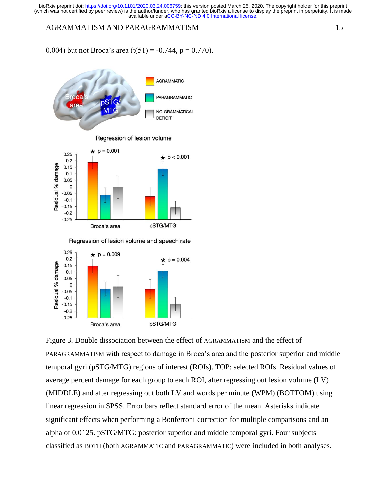## AGRAMMATISM AND PARAGRAMMATISM 15





Figure 3. Double dissociation between the effect of AGRAMMATISM and the effect of PARAGRAMMATISM with respect to damage in Broca's area and the posterior superior and middle temporal gyri (pSTG/MTG) regions of interest (ROIs). TOP: selected ROIs. Residual values of average percent damage for each group to each ROI, after regressing out lesion volume (LV) (MIDDLE) and after regressing out both LV and words per minute (WPM) (BOTTOM) using linear regression in SPSS. Error bars reflect standard error of the mean. Asterisks indicate significant effects when performing a Bonferroni correction for multiple comparisons and an alpha of 0.0125. pSTG/MTG: posterior superior and middle temporal gyri. Four subjects classified as BOTH (both AGRAMMATIC and PARAGRAMMATIC) were included in both analyses.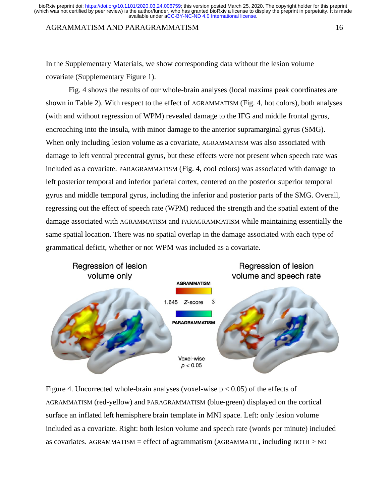#### AGRAMMATISM AND PARAGRAMMATISM 16

In the Supplementary Materials, we show corresponding data without the lesion volume covariate (Supplementary Figure 1).

Fig. 4 shows the results of our whole-brain analyses (local maxima peak coordinates are shown in Table 2). With respect to the effect of AGRAMMATISM (Fig. 4, hot colors), both analyses (with and without regression of WPM) revealed damage to the IFG and middle frontal gyrus, encroaching into the insula, with minor damage to the anterior supramarginal gyrus (SMG). When only including lesion volume as a covariate, AGRAMMATISM was also associated with damage to left ventral precentral gyrus, but these effects were not present when speech rate was included as a covariate. PARAGRAMMATISM (Fig. 4, cool colors) was associated with damage to left posterior temporal and inferior parietal cortex, centered on the posterior superior temporal gyrus and middle temporal gyrus, including the inferior and posterior parts of the SMG. Overall, regressing out the effect of speech rate (WPM) reduced the strength and the spatial extent of the damage associated with AGRAMMATISM and PARAGRAMMATISM while maintaining essentially the same spatial location. There was no spatial overlap in the damage associated with each type of grammatical deficit, whether or not WPM was included as a covariate.



Figure 4. Uncorrected whole-brain analyses (voxel-wise  $p < 0.05$ ) of the effects of AGRAMMATISM (red-yellow) and PARAGRAMMATISM (blue-green) displayed on the cortical surface an inflated left hemisphere brain template in MNI space. Left: only lesion volume included as a covariate. Right: both lesion volume and speech rate (words per minute) included as covariates. AGRAMMATISM = effect of agrammatism (AGRAMMATIC, including BOTH > NO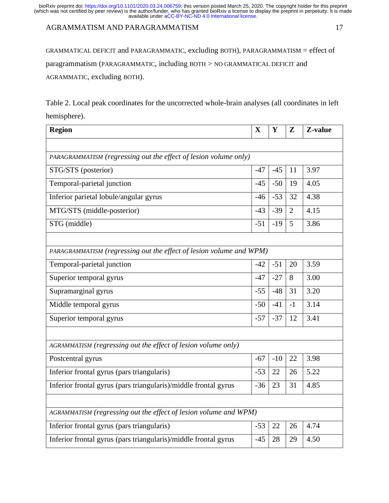# AGRAMMATISM AND PARAGRAMMATISM 17

GRAMMATICAL DEFICIT and PARAGRAMMATIC, excluding BOTH), PARAGRAMMATISM = effect of paragrammatism (PARAGRAMMATIC, including BOTH > NO GRAMMATICAL DEFICIT and AGRAMMATIC, excluding BOTH).

Table 2. Local peak coordinates for the uncorrected whole-brain analyses (all coordinates in left hemisphere).

| <b>Region</b>                                                       | $\mathbf X$ | Y     | $\mathbf{Z}$   | Z-value |  |  |  |  |
|---------------------------------------------------------------------|-------------|-------|----------------|---------|--|--|--|--|
|                                                                     |             |       |                |         |  |  |  |  |
| PARAGRAMMATISM (regressing out the effect of lesion volume only)    |             |       |                |         |  |  |  |  |
| STG/STS (posterior)                                                 | $-47$       | $-45$ | 11             | 3.97    |  |  |  |  |
| Temporal-parietal junction                                          | $-45$       | $-50$ | 19             | 4.05    |  |  |  |  |
| Inferior parietal lobule/angular gyrus                              | $-46$       | $-53$ | 32             | 4.38    |  |  |  |  |
| MTG/STS (middle-posterior)                                          | $-43$       | $-39$ | $\overline{2}$ | 4.15    |  |  |  |  |
| STG (middle)                                                        | $-51$       | $-19$ | 5              | 3.86    |  |  |  |  |
|                                                                     |             |       |                |         |  |  |  |  |
| PARAGRAMMATISM (regressing out the effect of lesion volume and WPM) |             |       |                |         |  |  |  |  |
| Temporal-parietal junction                                          | $-42$       | $-51$ | 20             | 3.59    |  |  |  |  |
| Superior temporal gyrus                                             | $-47$       | $-27$ | 8              | 3.00    |  |  |  |  |
| Supramarginal gyrus                                                 | $-55$       | $-48$ | 31             | 3.20    |  |  |  |  |
| Middle temporal gyrus                                               | $-50$       | $-41$ | $-1$           | 3.14    |  |  |  |  |
| Superior temporal gyrus                                             | $-57$       | $-37$ | 12             | 3.41    |  |  |  |  |
|                                                                     |             |       |                |         |  |  |  |  |
| AGRAMMATISM (regressing out the effect of lesion volume only)       |             |       |                |         |  |  |  |  |
| Postcentral gyrus                                                   | $-67$       | $-10$ | 22             | 3.98    |  |  |  |  |
| Inferior frontal gyrus (pars triangularis)                          | $-53$       | 22    | 26             | 5.22    |  |  |  |  |
| Inferior frontal gyrus (pars triangularis)/middle frontal gyrus     | $-36$       | 23    | 31             | 4.85    |  |  |  |  |
|                                                                     |             |       |                |         |  |  |  |  |
| AGRAMMATISM (regressing out the effect of lesion volume and WPM)    |             |       |                |         |  |  |  |  |
| Inferior frontal gyrus (pars triangularis)                          | $-53$       | 22    | 26             | 4.74    |  |  |  |  |
| Inferior frontal gyrus (pars triangularis)/middle frontal gyrus     | $-45$       | 28    | 29             | 4.50    |  |  |  |  |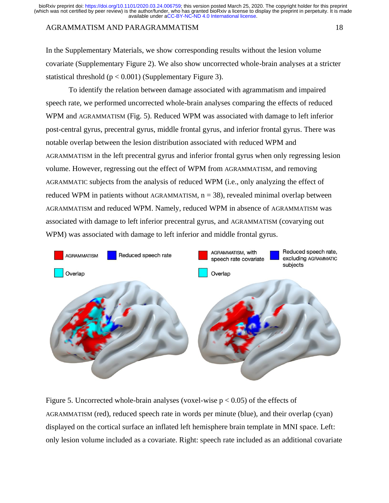## AGRAMMATISM AND PARAGRAMMATISM 18

In the Supplementary Materials, we show corresponding results without the lesion volume covariate (Supplementary Figure 2). We also show uncorrected whole-brain analyses at a stricter statistical threshold ( $p < 0.001$ ) (Supplementary Figure 3).

To identify the relation between damage associated with agrammatism and impaired speech rate, we performed uncorrected whole-brain analyses comparing the effects of reduced WPM and AGRAMMATISM (Fig. 5). Reduced WPM was associated with damage to left inferior post-central gyrus, precentral gyrus, middle frontal gyrus, and inferior frontal gyrus. There was notable overlap between the lesion distribution associated with reduced WPM and AGRAMMATISM in the left precentral gyrus and inferior frontal gyrus when only regressing lesion volume. However, regressing out the effect of WPM from AGRAMMATISM, and removing AGRAMMATIC subjects from the analysis of reduced WPM (i.e., only analyzing the effect of reduced WPM in patients without AGRAMMATISM,  $n = 38$ ), revealed minimal overlap between AGRAMMATISM and reduced WPM. Namely, reduced WPM in absence of AGRAMMATISM was associated with damage to left inferior precentral gyrus, and AGRAMMATISM (covarying out WPM) was associated with damage to left inferior and middle frontal gyrus.



Figure 5. Uncorrected whole-brain analyses (voxel-wise  $p < 0.05$ ) of the effects of AGRAMMATISM (red), reduced speech rate in words per minute (blue), and their overlap (cyan) displayed on the cortical surface an inflated left hemisphere brain template in MNI space. Left: only lesion volume included as a covariate. Right: speech rate included as an additional covariate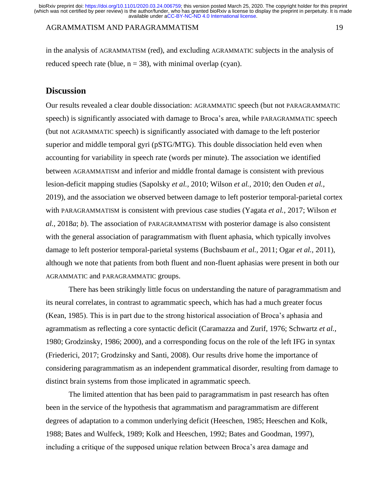## AGRAMMATISM AND PARAGRAMMATISM 19

in the analysis of AGRAMMATISM (red), and excluding AGRAMMATIC subjects in the analysis of reduced speech rate (blue,  $n = 38$ ), with minimal overlap (cyan).

# **Discussion**

Our results revealed a clear double dissociation: AGRAMMATIC speech (but not PARAGRAMMATIC speech) is significantly associated with damage to Broca's area, while PARAGRAMMATIC speech (but not AGRAMMATIC speech) is significantly associated with damage to the left posterior superior and middle temporal gyri (pSTG/MTG). This double dissociation held even when accounting for variability in speech rate (words per minute). The association we identified between AGRAMMATISM and inferior and middle frontal damage is consistent with previous lesion-deficit mapping studies (Sapolsky *et al.,* 2010; Wilson *et al.,* 2010; den Ouden *et al.,* 2019), and the association we observed between damage to left posterior temporal-parietal cortex with PARAGRAMMATISM is consistent with previous case studies (Yagata *et al.*, 2017; Wilson *et al.,* 2018*a*; *b*). The association of PARAGRAMMATISM with posterior damage is also consistent with the general association of paragrammatism with fluent aphasia, which typically involves damage to left posterior temporal-parietal systems (Buchsbaum *et al.,* 2011; Ogar *et al.,* 2011), although we note that patients from both fluent and non-fluent aphasias were present in both our AGRAMMATIC and PARAGRAMMATIC groups.

There has been strikingly little focus on understanding the nature of paragrammatism and its neural correlates, in contrast to agrammatic speech, which has had a much greater focus (Kean, 1985). This is in part due to the strong historical association of Broca's aphasia and agrammatism as reflecting a core syntactic deficit (Caramazza and Zurif, 1976; Schwartz *et al.*, 1980; Grodzinsky, 1986; 2000), and a corresponding focus on the role of the left IFG in syntax (Friederici, 2017; Grodzinsky and Santi, 2008). Our results drive home the importance of considering paragrammatism as an independent grammatical disorder, resulting from damage to distinct brain systems from those implicated in agrammatic speech.

The limited attention that has been paid to paragrammatism in past research has often been in the service of the hypothesis that agrammatism and paragrammatism are different degrees of adaptation to a common underlying deficit (Heeschen, 1985; Heeschen and Kolk, 1988; Bates and Wulfeck, 1989; Kolk and Heeschen, 1992; Bates and Goodman, 1997), including a critique of the supposed unique relation between Broca's area damage and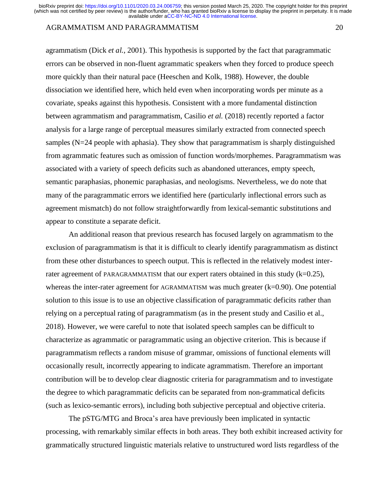## AGRAMMATISM AND PARAGRAMMATISM 20

agrammatism (Dick *et al.*, 2001). This hypothesis is supported by the fact that paragrammatic errors can be observed in non-fluent agrammatic speakers when they forced to produce speech more quickly than their natural pace (Heeschen and Kolk, 1988). However, the double dissociation we identified here, which held even when incorporating words per minute as a covariate, speaks against this hypothesis. Consistent with a more fundamental distinction between agrammatism and paragrammatism, Casilio *et al.* (2018) recently reported a factor analysis for a large range of perceptual measures similarly extracted from connected speech samples (N=24 people with aphasia). They show that paragrammatism is sharply distinguished from agrammatic features such as omission of function words/morphemes. Paragrammatism was associated with a variety of speech deficits such as abandoned utterances, empty speech, semantic paraphasias, phonemic paraphasias, and neologisms. Nevertheless, we do note that many of the paragrammatic errors we identified here (particularly inflectional errors such as agreement mismatch) do not follow straightforwardly from lexical-semantic substitutions and appear to constitute a separate deficit.

An additional reason that previous research has focused largely on agrammatism to the exclusion of paragrammatism is that it is difficult to clearly identify paragrammatism as distinct from these other disturbances to speech output. This is reflected in the relatively modest interrater agreement of PARAGRAMMATISM that our expert raters obtained in this study (k=0.25), whereas the inter-rater agreement for AGRAMMATISM was much greater (k=0.90). One potential solution to this issue is to use an objective classification of paragrammatic deficits rather than relying on a perceptual rating of paragrammatism (as in the present study and Casilio et al., 2018). However, we were careful to note that isolated speech samples can be difficult to characterize as agrammatic or paragrammatic using an objective criterion. This is because if paragrammatism reflects a random misuse of grammar, omissions of functional elements will occasionally result, incorrectly appearing to indicate agrammatism. Therefore an important contribution will be to develop clear diagnostic criteria for paragrammatism and to investigate the degree to which paragrammatic deficits can be separated from non-grammatical deficits (such as lexico-semantic errors), including both subjective perceptual and objective criteria.

The pSTG/MTG and Broca's area have previously been implicated in syntactic processing, with remarkably similar effects in both areas. They both exhibit increased activity for grammatically structured linguistic materials relative to unstructured word lists regardless of the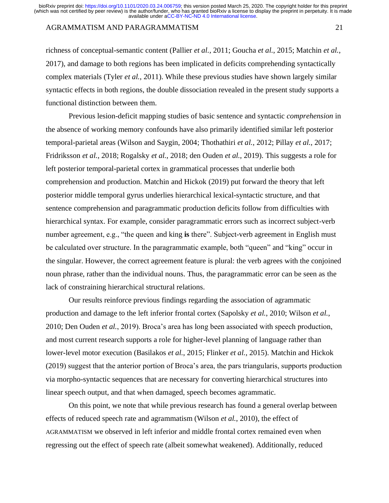## AGRAMMATISM AND PARAGRAMMATISM 21

richness of conceptual-semantic content (Pallier *et al.,* 2011; Goucha *et al.*, 2015; Matchin *et al.*, 2017), and damage to both regions has been implicated in deficits comprehending syntactically complex materials (Tyler *et al.*, 2011). While these previous studies have shown largely similar syntactic effects in both regions, the double dissociation revealed in the present study supports a functional distinction between them.

Previous lesion-deficit mapping studies of basic sentence and syntactic *comprehension* in the absence of working memory confounds have also primarily identified similar left posterior temporal-parietal areas (Wilson and Saygin, 2004; Thothathiri *et al.*, 2012; Pillay *et al.*, 2017; Fridriksson *et al.*, 2018; Rogalsky *et al.*, 2018; den Ouden *et al.*, 2019). This suggests a role for left posterior temporal-parietal cortex in grammatical processes that underlie both comprehension and production. Matchin and Hickok (2019) put forward the theory that left posterior middle temporal gyrus underlies hierarchical lexical-syntactic structure, and that sentence comprehension and paragrammatic production deficits follow from difficulties with hierarchical syntax. For example, consider paragrammatic errors such as incorrect subject-verb number agreement, e.g., "the queen and king **is** there". Subject-verb agreement in English must be calculated over structure. In the paragrammatic example, both "queen" and "king" occur in the singular. However, the correct agreement feature is plural: the verb agrees with the conjoined noun phrase, rather than the individual nouns. Thus, the paragrammatic error can be seen as the lack of constraining hierarchical structural relations.

Our results reinforce previous findings regarding the association of agrammatic production and damage to the left inferior frontal cortex (Sapolsky *et al.*, 2010; Wilson *et al.*, 2010; Den Ouden *et al.*, 2019). Broca's area has long been associated with speech production, and most current research supports a role for higher-level planning of language rather than lower-level motor execution (Basilakos *et al.*, 2015; Flinker *et al.*, 2015). Matchin and Hickok (2019) suggest that the anterior portion of Broca's area, the pars triangularis, supports production via morpho-syntactic sequences that are necessary for converting hierarchical structures into linear speech output, and that when damaged, speech becomes agrammatic.

On this point, we note that while previous research has found a general overlap between effects of reduced speech rate and agrammatism (Wilson *et al.*, 2010), the effect of AGRAMMATISM we observed in left inferior and middle frontal cortex remained even when regressing out the effect of speech rate (albeit somewhat weakened). Additionally, reduced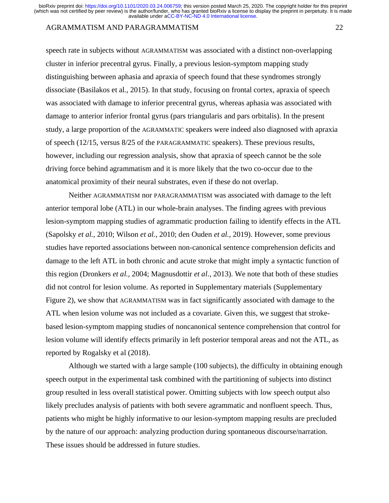## AGRAMMATISM AND PARAGRAMMATISM 22

speech rate in subjects without AGRAMMATISM was associated with a distinct non-overlapping cluster in inferior precentral gyrus. Finally, a previous lesion-symptom mapping study distinguishing between aphasia and apraxia of speech found that these syndromes strongly dissociate (Basilakos et al., 2015). In that study, focusing on frontal cortex, apraxia of speech was associated with damage to inferior precentral gyrus, whereas aphasia was associated with damage to anterior inferior frontal gyrus (pars triangularis and pars orbitalis). In the present study, a large proportion of the AGRAMMATIC speakers were indeed also diagnosed with apraxia of speech (12/15, versus 8/25 of the PARAGRAMMATIC speakers). These previous results, however, including our regression analysis, show that apraxia of speech cannot be the sole driving force behind agrammatism and it is more likely that the two co-occur due to the anatomical proximity of their neural substrates, even if these do not overlap.

Neither AGRAMMATISM nor PARAGRAMMATISM was associated with damage to the left anterior temporal lobe (ATL) in our whole-brain analyses. The finding agrees with previous lesion-symptom mapping studies of agrammatic production failing to identify effects in the ATL (Sapolsky *et al.*, 2010; Wilson *et al.*, 2010; den Ouden *et al.*, 2019). However, some previous studies have reported associations between non-canonical sentence comprehension deficits and damage to the left ATL in both chronic and acute stroke that might imply a syntactic function of this region (Dronkers *et al.*, 2004; Magnusdottir *et al.*, 2013). We note that both of these studies did not control for lesion volume. As reported in Supplementary materials (Supplementary Figure 2), we show that AGRAMMATISM was in fact significantly associated with damage to the ATL when lesion volume was not included as a covariate. Given this, we suggest that strokebased lesion-symptom mapping studies of noncanonical sentence comprehension that control for lesion volume will identify effects primarily in left posterior temporal areas and not the ATL, as reported by Rogalsky et al (2018).

Although we started with a large sample (100 subjects), the difficulty in obtaining enough speech output in the experimental task combined with the partitioning of subjects into distinct group resulted in less overall statistical power. Omitting subjects with low speech output also likely precludes analysis of patients with both severe agrammatic and nonfluent speech. Thus, patients who might be highly informative to our lesion-symptom mapping results are precluded by the nature of our approach: analyzing production during spontaneous discourse/narration. These issues should be addressed in future studies.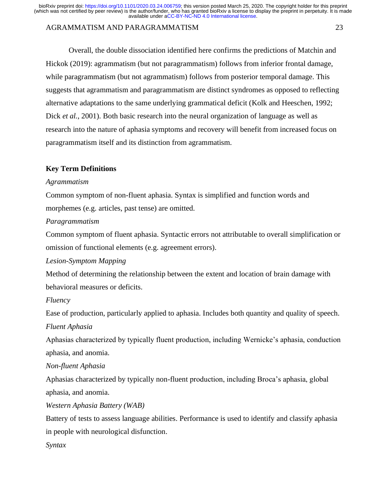# AGRAMMATISM AND PARAGRAMMATISM 23

Overall, the double dissociation identified here confirms the predictions of Matchin and Hickok (2019): agrammatism (but not paragrammatism) follows from inferior frontal damage, while paragrammatism (but not agrammatism) follows from posterior temporal damage. This suggests that agrammatism and paragrammatism are distinct syndromes as opposed to reflecting alternative adaptations to the same underlying grammatical deficit (Kolk and Heeschen, 1992; Dick *et al.*, 2001). Both basic research into the neural organization of language as well as research into the nature of aphasia symptoms and recovery will benefit from increased focus on paragrammatism itself and its distinction from agrammatism.

# **Key Term Definitions**

#### *Agrammatism*

Common symptom of non-fluent aphasia. Syntax is simplified and function words and morphemes (e.g. articles, past tense) are omitted.

#### *Paragrammatism*

Common symptom of fluent aphasia. Syntactic errors not attributable to overall simplification or omission of functional elements (e.g. agreement errors).

### *Lesion-Symptom Mapping*

Method of determining the relationship between the extent and location of brain damage with behavioral measures or deficits.

# *Fluency*

Ease of production, particularly applied to aphasia. Includes both quantity and quality of speech.

# *Fluent Aphasia*

Aphasias characterized by typically fluent production, including Wernicke's aphasia, conduction aphasia, and anomia.

## *Non-fluent Aphasia*

Aphasias characterized by typically non-fluent production, including Broca's aphasia, global aphasia, and anomia.

# *Western Aphasia Battery (WAB)*

Battery of tests to assess language abilities. Performance is used to identify and classify aphasia in people with neurological disfunction.

*Syntax*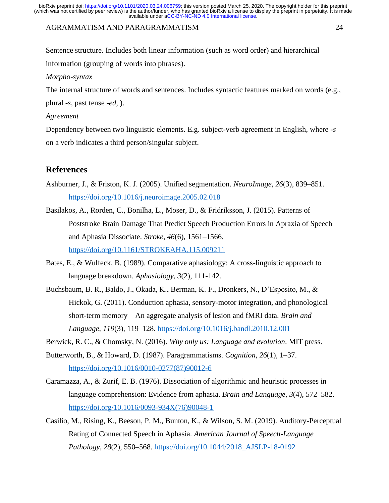# AGRAMMATISM AND PARAGRAMMATISM 24

Sentence structure. Includes both linear information (such as word order) and hierarchical information (grouping of words into phrases).

*Morpho-syntax*

The internal structure of words and sentences. Includes syntactic features marked on words (e.g.,

plural *-s*, past tense *-ed*, ).

*Agreement*

Dependency between two linguistic elements. E.g. subject-verb agreement in English, where *-s* on a verb indicates a third person/singular subject.

# **References**

- Ashburner, J., & Friston, K. J. (2005). Unified segmentation. *NeuroImage*, *26*(3), 839–851. <https://doi.org/10.1016/j.neuroimage.2005.02.018>
- Basilakos, A., Rorden, C., Bonilha, L., Moser, D., & Fridriksson, J. (2015). Patterns of Poststroke Brain Damage That Predict Speech Production Errors in Apraxia of Speech and Aphasia Dissociate. *Stroke*, *46*(6), 1561–1566. <https://doi.org/10.1161/STROKEAHA.115.009211>
- Bates, E., & Wulfeck, B. (1989). Comparative aphasiology: A cross-linguistic approach to language breakdown. *Aphasiology*, *3*(2), 111-142.
- Buchsbaum, B. R., Baldo, J., Okada, K., Berman, K. F., Dronkers, N., D'Esposito, M., & Hickok, G. (2011). Conduction aphasia, sensory-motor integration, and phonological short-term memory – An aggregate analysis of lesion and fMRI data. *Brain and Language*, *119*(3), 119–128.<https://doi.org/10.1016/j.bandl.2010.12.001>
- Berwick, R. C., & Chomsky, N. (2016). *Why only us: Language and evolution*. MIT press.
- Butterworth, B., & Howard, D. (1987). Paragrammatisms. *Cognition*, *26*(1), 1–37. [https://doi.org/10.1016/0010-0277\(87\)90012-6](https://doi.org/10.1016/0010-0277(87)90012-6)
- Caramazza, A., & Zurif, E. B. (1976). Dissociation of algorithmic and heuristic processes in language comprehension: Evidence from aphasia. *Brain and Language*, *3*(4), 572–582. [https://doi.org/10.1016/0093-934X\(76\)90048-1](https://doi.org/10.1016/0093-934X(76)90048-1)
- Casilio, M., Rising, K., Beeson, P. M., Bunton, K., & Wilson, S. M. (2019). Auditory-Perceptual Rating of Connected Speech in Aphasia. *American Journal of Speech-Language Pathology*, *28*(2), 550–568. [https://doi.org/10.1044/2018\\_AJSLP-18-0192](https://doi.org/10.1044/2018_AJSLP-18-0192)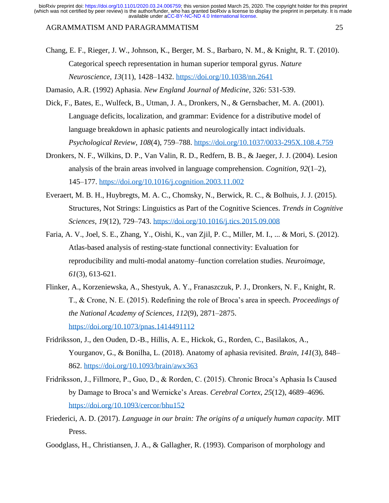AGRAMMATISM AND PARAGRAMMATISM 25

Chang, E. F., Rieger, J. W., Johnson, K., Berger, M. S., Barbaro, N. M., & Knight, R. T. (2010). Categorical speech representation in human superior temporal gyrus. *Nature Neuroscience*, *13*(11), 1428–1432.<https://doi.org/10.1038/nn.2641>

Damasio, A.R. (1992) Aphasia. *New England Journal of Medicine*, 326: 531-539.

- Dick, F., Bates, E., Wulfeck, B., Utman, J. A., Dronkers, N., & Gernsbacher, M. A. (2001). Language deficits, localization, and grammar: Evidence for a distributive model of language breakdown in aphasic patients and neurologically intact individuals. *Psychological Review*, *108*(4), 759–788.<https://doi.org/10.1037/0033-295X.108.4.759>
- Dronkers, N. F., Wilkins, D. P., Van Valin, R. D., Redfern, B. B., & Jaeger, J. J. (2004). Lesion analysis of the brain areas involved in language comprehension. *Cognition*, *92*(1–2), 145–177.<https://doi.org/10.1016/j.cognition.2003.11.002>
- Everaert, M. B. H., Huybregts, M. A. C., Chomsky, N., Berwick, R. C., & Bolhuis, J. J. (2015). Structures, Not Strings: Linguistics as Part of the Cognitive Sciences. *Trends in Cognitive Sciences*, *19*(12), 729–743.<https://doi.org/10.1016/j.tics.2015.09.008>
- Faria, A. V., Joel, S. E., Zhang, Y., Oishi, K., van Zjil, P. C., Miller, M. I., ... & Mori, S. (2012). Atlas-based analysis of resting-state functional connectivity: Evaluation for reproducibility and multi-modal anatomy–function correlation studies. *Neuroimage*, *61*(3), 613-621.
- Flinker, A., Korzeniewska, A., Shestyuk, A. Y., Franaszczuk, P. J., Dronkers, N. F., Knight, R. T., & Crone, N. E. (2015). Redefining the role of Broca's area in speech. *Proceedings of the National Academy of Sciences*, *112*(9), 2871–2875. <https://doi.org/10.1073/pnas.1414491112>
- Fridriksson, J., den Ouden, D.-B., Hillis, A. E., Hickok, G., Rorden, C., Basilakos, A., Yourganov, G., & Bonilha, L. (2018). Anatomy of aphasia revisited. *Brain*, *141*(3), 848– 862.<https://doi.org/10.1093/brain/awx363>
- Fridriksson, J., Fillmore, P., Guo, D., & Rorden, C. (2015). Chronic Broca's Aphasia Is Caused by Damage to Broca's and Wernicke's Areas. *Cerebral Cortex*, *25*(12), 4689–4696. <https://doi.org/10.1093/cercor/bhu152>
- Friederici, A. D. (2017). *Language in our brain: The origins of a uniquely human capacity*. MIT Press.
- Goodglass, H., Christiansen, J. A., & Gallagher, R. (1993). Comparison of morphology and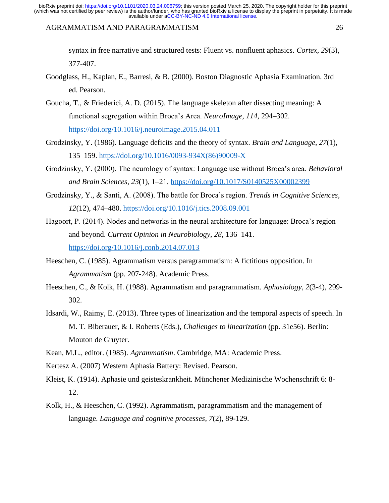#### AGRAMMATISM AND PARAGRAMMATISM 26

syntax in free narrative and structured tests: Fluent vs. nonfluent aphasics. *Cortex*, *29*(3), 377-407.

- Goodglass, H., Kaplan, E., Barresi, & B. (2000). Boston Diagnostic Aphasia Examination. 3rd ed. Pearson.
- Goucha, T., & Friederici, A. D. (2015). The language skeleton after dissecting meaning: A functional segregation within Broca's Area. *NeuroImage*, *114*, 294–302. <https://doi.org/10.1016/j.neuroimage.2015.04.011>
- Grodzinsky, Y. (1986). Language deficits and the theory of syntax. *Brain and Language*, *27*(1), 135–159. [https://doi.org/10.1016/0093-934X\(86\)90009-X](https://doi.org/10.1016/0093-934X(86)90009-X)
- Grodzinsky, Y. (2000). The neurology of syntax: Language use without Broca's area. *Behavioral and Brain Sciences*, *23*(1), 1–21.<https://doi.org/10.1017/S0140525X00002399>
- Grodzinsky, Y., & Santi, A. (2008). The battle for Broca's region. *Trends in Cognitive Sciences*, *12*(12), 474–480.<https://doi.org/10.1016/j.tics.2008.09.001>
- Hagoort, P. (2014). Nodes and networks in the neural architecture for language: Broca's region and beyond. *Current Opinion in Neurobiology*, *28*, 136–141. <https://doi.org/10.1016/j.conb.2014.07.013>
- Heeschen, C. (1985). Agrammatism versus paragrammatism: A fictitious opposition. In *Agrammatism* (pp. 207-248). Academic Press.
- Heeschen, C., & Kolk, H. (1988). Agrammatism and paragrammatism. *Aphasiology*, *2*(3-4), 299- 302.
- Idsardi, W., Raimy, E. (2013). Three types of linearization and the temporal aspects of speech. In M. T. Biberauer, & I. Roberts (Eds.), *Challenges to linearization* (pp. 31e56). Berlin: Mouton de Gruyter.

Kean, M.L., editor. (1985). *Agrammatism*. Cambridge, MA: Academic Press.

Kertesz A. (2007) Western Aphasia Battery: Revised. Pearson.

- Kleist, K. (1914). Aphasie und geisteskrankheit. Münchener Medizinische Wochenschrift 6: 8- 12.
- Kolk, H., & Heeschen, C. (1992). Agrammatism, paragrammatism and the management of language. *Language and cognitive processes*, *7*(2), 89-129.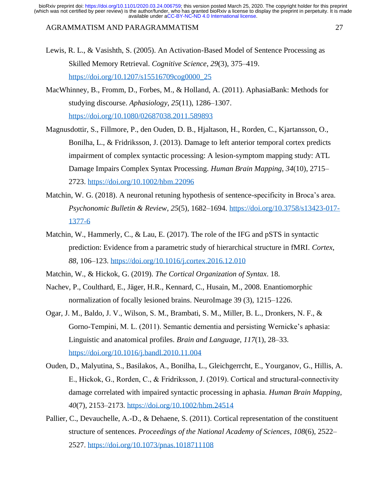#### AGRAMMATISM AND PARAGRAMMATISM 27

Lewis, R. L., & Vasishth, S. (2005). An Activation-Based Model of Sentence Processing as Skilled Memory Retrieval. *Cognitive Science*, *29*(3), 375–419. [https://doi.org/10.1207/s15516709cog0000\\_25](https://doi.org/10.1207/s15516709cog0000_25)

- MacWhinney, B., Fromm, D., Forbes, M., & Holland, A. (2011). AphasiaBank: Methods for studying discourse. *Aphasiology*, *25*(11), 1286–1307. <https://doi.org/10.1080/02687038.2011.589893>
- Magnusdottir, S., Fillmore, P., den Ouden, D. B., Hjaltason, H., Rorden, C., Kjartansson, O., Bonilha, L., & Fridriksson, J. (2013). Damage to left anterior temporal cortex predicts impairment of complex syntactic processing: A lesion-symptom mapping study: ATL Damage Impairs Complex Syntax Processing. *Human Brain Mapping*, *34*(10), 2715– 2723.<https://doi.org/10.1002/hbm.22096>
- Matchin, W. G. (2018). A neuronal retuning hypothesis of sentence-specificity in Broca's area. *Psychonomic Bulletin & Review*, *25*(5), 1682–1694. [https://doi.org/10.3758/s13423-017-](https://doi.org/10.3758/s13423-017-1377-6) [1377-6](https://doi.org/10.3758/s13423-017-1377-6)
- Matchin, W., Hammerly, C., & Lau, E. (2017). The role of the IFG and pSTS in syntactic prediction: Evidence from a parametric study of hierarchical structure in fMRI. *Cortex*, *88*, 106–123.<https://doi.org/10.1016/j.cortex.2016.12.010>
- Matchin, W., & Hickok, G. (2019). *The Cortical Organization of Syntax*. 18.
- Nachev, P., Coulthard, E., Jäger, H.R., Kennard, C., Husain, M., 2008. Enantiomorphic normalization of focally lesioned brains. NeuroImage 39 (3), 1215–1226.
- Ogar, J. M., Baldo, J. V., Wilson, S. M., Brambati, S. M., Miller, B. L., Dronkers, N. F., & Gorno-Tempini, M. L. (2011). Semantic dementia and persisting Wernicke's aphasia: Linguistic and anatomical profiles. *Brain and Language*, *117*(1), 28–33. <https://doi.org/10.1016/j.bandl.2010.11.004>
- Ouden, D., Malyutina, S., Basilakos, A., Bonilha, L., Gleichgerrcht, E., Yourganov, G., Hillis, A. E., Hickok, G., Rorden, C., & Fridriksson, J. (2019). Cortical and structural‐connectivity damage correlated with impaired syntactic processing in aphasia. *Human Brain Mapping*, *40*(7), 2153–2173.<https://doi.org/10.1002/hbm.24514>
- Pallier, C., Devauchelle, A.-D., & Dehaene, S. (2011). Cortical representation of the constituent structure of sentences. *Proceedings of the National Academy of Sciences*, *108*(6), 2522– 2527.<https://doi.org/10.1073/pnas.1018711108>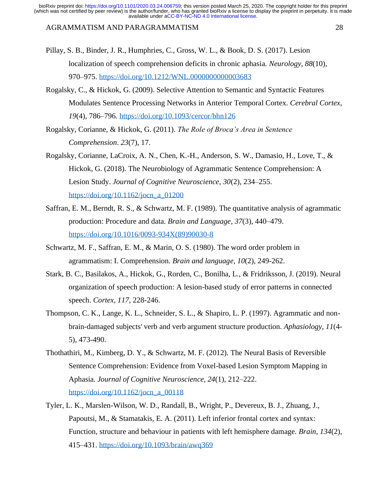#### AGRAMMATISM AND PARAGRAMMATISM 28

- Pillay, S. B., Binder, J. R., Humphries, C., Gross, W. L., & Book, D. S. (2017). Lesion localization of speech comprehension deficits in chronic aphasia. *Neurology*, *88*(10), 970–975.<https://doi.org/10.1212/WNL.0000000000003683>
- Rogalsky, C., & Hickok, G. (2009). Selective Attention to Semantic and Syntactic Features Modulates Sentence Processing Networks in Anterior Temporal Cortex. *Cerebral Cortex*, *19*(4), 786–796.<https://doi.org/10.1093/cercor/bhn126>
- Rogalsky, Corianne, & Hickok, G. (2011). *The Role of Broca's Area in Sentence Comprehension*. *23*(7), 17.
- Rogalsky, Corianne, LaCroix, A. N., Chen, K.-H., Anderson, S. W., Damasio, H., Love, T., & Hickok, G. (2018). The Neurobiology of Agrammatic Sentence Comprehension: A Lesion Study. *Journal of Cognitive Neuroscience*, *30*(2), 234–255. [https://doi.org/10.1162/jocn\\_a\\_01200](https://doi.org/10.1162/jocn_a_01200)
- Saffran, E. M., Berndt, R. S., & Schwartz, M. F. (1989). The quantitative analysis of agrammatic production: Procedure and data. *Brain and Language*, *37*(3), 440–479. [https://doi.org/10.1016/0093-934X\(89\)90030-8](https://doi.org/10.1016/0093-934X(89)90030-8)
- Schwartz, M. F., Saffran, E. M., & Marin, O. S. (1980). The word order problem in agrammatism: I. Comprehension. *Brain and language*, *10*(2), 249-262.
- Stark, B. C., Basilakos, A., Hickok, G., Rorden, C., Bonilha, L., & Fridriksson, J. (2019). Neural organization of speech production: A lesion-based study of error patterns in connected speech. *Cortex*, *117*, 228-246.
- Thompson, C. K., Lange, K. L., Schneider, S. L., & Shapiro, L. P. (1997). Agrammatic and nonbrain-damaged subjects' verb and verb argument structure production. *Aphasiology*, *11*(4- 5), 473-490.
- Thothathiri, M., Kimberg, D. Y., & Schwartz, M. F. (2012). The Neural Basis of Reversible Sentence Comprehension: Evidence from Voxel-based Lesion Symptom Mapping in Aphasia. *Journal of Cognitive Neuroscience*, *24*(1), 212–222. [https://doi.org/10.1162/jocn\\_a\\_00118](https://doi.org/10.1162/jocn_a_00118)
- Tyler, L. K., Marslen-Wilson, W. D., Randall, B., Wright, P., Devereux, B. J., Zhuang, J., Papoutsi, M., & Stamatakis, E. A. (2011). Left inferior frontal cortex and syntax: Function, structure and behaviour in patients with left hemisphere damage. *Brain*, *134*(2), 415–431.<https://doi.org/10.1093/brain/awq369>